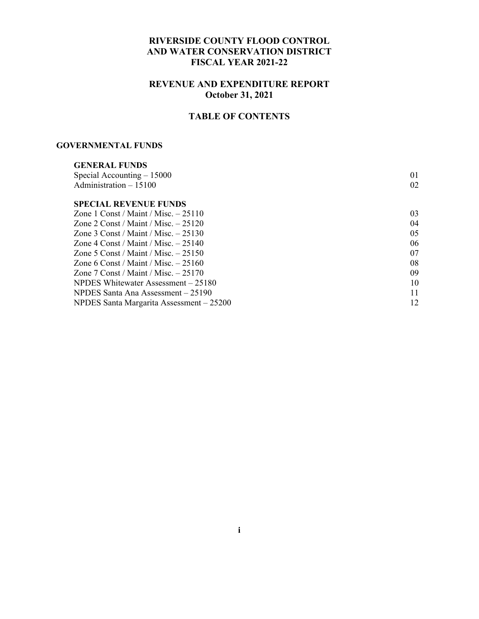#### **RIVERSIDE COUNTY FLOOD CONTROL AND WATER CONSERVATION DISTRICT FISCAL YEAR 2021-22**

### **REVENUE AND EXPENDITURE REPORT October 31, 2021**

# **TABLE OF CONTENTS**

#### **GOVERNMENTAL FUNDS**

| <b>GENERAL FUNDS</b>                     |    |
|------------------------------------------|----|
| Special Accounting $-15000$              | 01 |
| Administration $-15100$                  | 02 |
| <b>SPECIAL REVENUE FUNDS</b>             |    |
| Zone 1 Const / Maint / Misc. $-25110$    | 03 |
| Zone 2 Const / Maint / Misc. $-25120$    | 04 |
| Zone 3 Const / Maint / Misc. $-25130$    | 05 |
| Zone 4 Const / Maint / Misc. $-25140$    | 06 |
| Zone 5 Const / Maint / Misc. $-25150$    | 07 |
| Zone 6 Const / Maint / Misc. $-25160$    | 08 |
| Zone 7 Const / Maint / Misc. $-25170$    | 09 |
| NPDES Whitewater Assessment – 25180      | 10 |
| NPDES Santa Ana Assessment – 25190       | 11 |
| NPDES Santa Margarita Assessment - 25200 | 12 |
|                                          |    |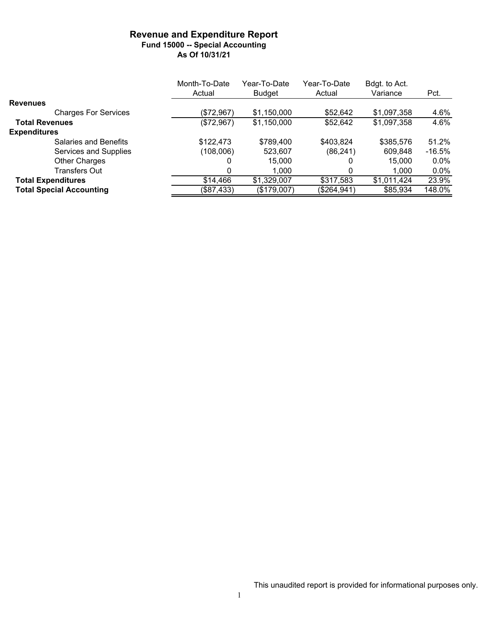#### **Revenue and Expenditure Report Fund 15000 -- Special Accounting As Of 10/31/21**

|                                 | Month-To-Date | Year-To-Date  | Year-To-Date | Bdgt. to Act. |          |
|---------------------------------|---------------|---------------|--------------|---------------|----------|
|                                 | Actual        | <b>Budget</b> | Actual       | Variance      | Pct.     |
| <b>Revenues</b>                 |               |               |              |               |          |
| <b>Charges For Services</b>     | (\$72,967)    | \$1,150,000   | \$52,642     | \$1,097,358   | 4.6%     |
| <b>Total Revenues</b>           | (\$72,967)    | \$1,150,000   | \$52,642     | \$1,097,358   | 4.6%     |
| <b>Expenditures</b>             |               |               |              |               |          |
| Salaries and Benefits           | \$122,473     | \$789,400     | \$403,824    | \$385,576     | 51.2%    |
| Services and Supplies           | (108,006)     | 523,607       | (86, 241)    | 609,848       | $-16.5%$ |
| Other Charges                   | 0             | 15,000        |              | 15,000        | $0.0\%$  |
| <b>Transfers Out</b>            | 0             | 1.000         |              | 1.000         | $0.0\%$  |
| <b>Total Expenditures</b>       | \$14,466      | \$1,329,007   | \$317,583    | \$1,011,424   | 23.9%    |
| <b>Total Special Accounting</b> | (\$87,433)    | (\$179,007)   | (\$264,941)  | \$85,934      | 148.0%   |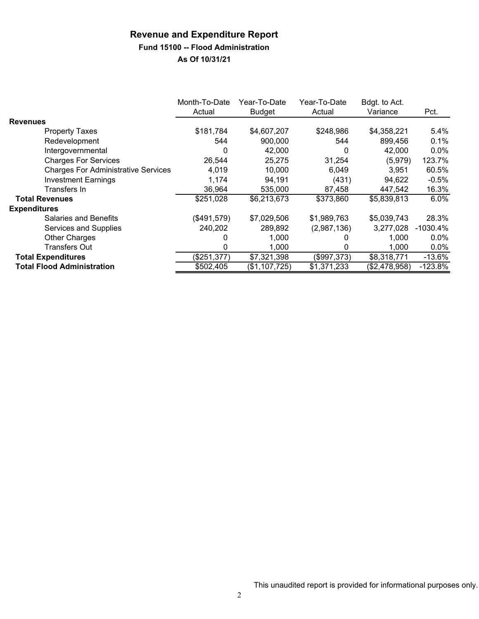### **Revenue and Expenditure Report Fund 15100 -- Flood Administration**

|                                            | Month-To-Date<br>Actual | Year-To-Date<br><b>Budget</b> | Year-To-Date<br>Actual | Bdgt. to Act.<br>Variance | Pct.       |
|--------------------------------------------|-------------------------|-------------------------------|------------------------|---------------------------|------------|
| <b>Revenues</b>                            |                         |                               |                        |                           |            |
| <b>Property Taxes</b>                      | \$181,784               | \$4,607,207                   | \$248,986              | \$4,358,221               | 5.4%       |
| Redevelopment                              | 544                     | 900,000                       | 544                    | 899,456                   | 0.1%       |
| Intergovernmental                          | 0                       | 42,000                        | 0                      | 42,000                    | 0.0%       |
| <b>Charges For Services</b>                | 26,544                  | 25,275                        | 31,254                 | (5,979)                   | 123.7%     |
| <b>Charges For Administrative Services</b> | 4,019                   | 10,000                        | 6.049                  | 3.951                     | 60.5%      |
| <b>Investment Earnings</b>                 | 1,174                   | 94,191                        | (431)                  | 94,622                    | $-0.5%$    |
| Transfers In                               | 36,964                  | 535,000                       | 87,458                 | 447,542                   | 16.3%      |
| <b>Total Revenues</b>                      | \$251,028               | \$6,213,673                   | \$373,860              | \$5,839,813               | 6.0%       |
| <b>Expenditures</b>                        |                         |                               |                        |                           |            |
| <b>Salaries and Benefits</b>               | (\$491,579)             | \$7,029,506                   | \$1,989,763            | \$5,039,743               | 28.3%      |
| Services and Supplies                      | 240,202                 | 289,892                       | (2,987,136)            | 3,277,028                 | $-1030.4%$ |
| <b>Other Charges</b>                       | 0                       | 1,000                         |                        | 1,000                     | 0.0%       |
| <b>Transfers Out</b>                       | 0                       | 1,000                         | 0                      | 1,000                     | $0.0\%$    |
| <b>Total Expenditures</b>                  | (\$251,377)             | \$7,321,398                   | (\$997,373)            | \$8,318,771               | $-13.6%$   |
| <b>Total Flood Administration</b>          | \$502,405               | (\$1,107,725)                 | \$1,371,233            | (\$2,478,958)             | $-123.8%$  |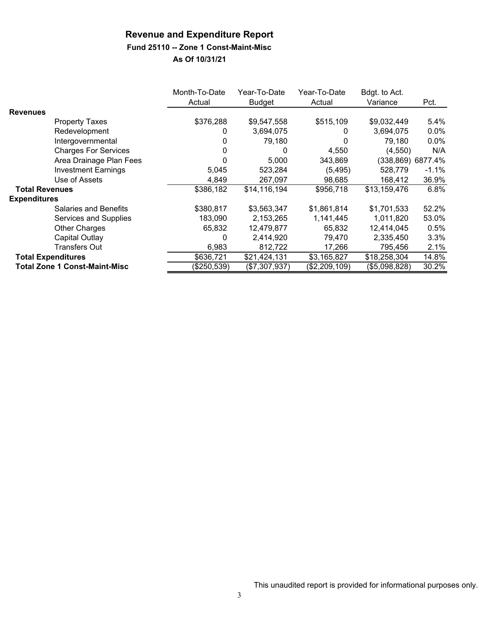## **Fund 25110 -- Zone 1 Const-Maint-Misc**

|                           |                                      | Month-To-Date<br>Actual | Year-To-Date<br><b>Budget</b> | Year-To-Date<br>Actual | Bdgt. to Act.<br>Variance | Pct.              |
|---------------------------|--------------------------------------|-------------------------|-------------------------------|------------------------|---------------------------|-------------------|
| <b>Revenues</b>           |                                      |                         |                               |                        |                           |                   |
|                           | <b>Property Taxes</b>                | \$376,288               | \$9,547,558                   | \$515,109              | \$9,032,449               | 5.4%              |
|                           | Redevelopment                        | 0                       | 3,694,075                     | 0                      | 3,694,075                 | 0.0%              |
|                           | Intergovernmental                    |                         | 79,180                        | 0                      | 79,180                    | 0.0%              |
|                           | <b>Charges For Services</b>          |                         | 0                             | 4,550                  | (4,550)                   | N/A               |
|                           | Area Drainage Plan Fees              |                         | 5,000                         | 343,869                |                           | (338,869) 6877.4% |
|                           | <b>Investment Earnings</b>           | 5,045                   | 523,284                       | (5, 495)               | 528,779                   | $-1.1%$           |
|                           | Use of Assets                        | 4,849                   | 267,097                       | 98,685                 | 168,412                   | 36.9%             |
| <b>Total Revenues</b>     |                                      | \$386,182               | \$14,116,194                  | \$956,718              | \$13,159,476              | 6.8%              |
| <b>Expenditures</b>       |                                      |                         |                               |                        |                           |                   |
|                           | <b>Salaries and Benefits</b>         | \$380,817               | \$3,563,347                   | \$1,861,814            | \$1,701,533               | 52.2%             |
|                           | Services and Supplies                | 183,090                 | 2,153,265                     | 1,141,445              | 1,011,820                 | 53.0%             |
|                           | <b>Other Charges</b>                 | 65,832                  | 12,479,877                    | 65,832                 | 12,414,045                | 0.5%              |
|                           | Capital Outlay                       | 0                       | 2,414,920                     | 79,470                 | 2,335,450                 | 3.3%              |
|                           | Transfers Out                        | 6,983                   | 812,722                       | 17,266                 | 795,456                   | 2.1%              |
| <b>Total Expenditures</b> |                                      | \$636,721               | \$21,424,131                  | \$3,165,827            | \$18,258,304              | 14.8%             |
|                           | <b>Total Zone 1 Const-Maint-Misc</b> | (\$250,539)             | (\$7,307,937)                 | (\$2,209,109)          | (\$5,098,828)             | 30.2%             |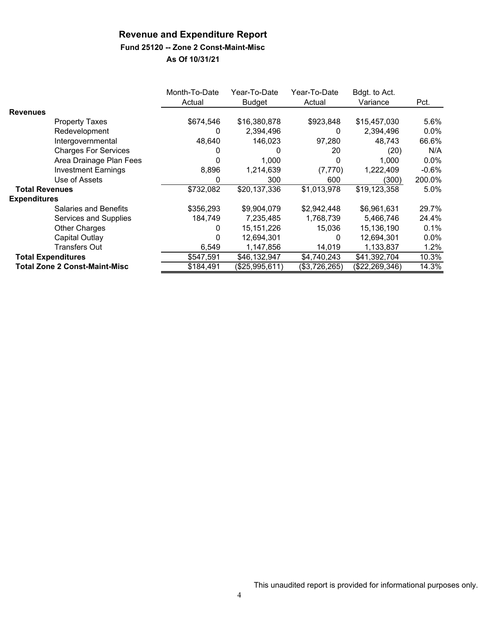### **Fund 25120 -- Zone 2 Const-Maint-Misc**

|                       |                                      | Month-To-Date<br>Actual | Year-To-Date<br><b>Budget</b> | Year-To-Date<br>Actual | Bdgt. to Act.<br>Variance | Pct.    |
|-----------------------|--------------------------------------|-------------------------|-------------------------------|------------------------|---------------------------|---------|
| <b>Revenues</b>       |                                      |                         |                               |                        |                           |         |
|                       | <b>Property Taxes</b>                | \$674,546               | \$16,380,878                  | \$923,848              | \$15,457,030              | 5.6%    |
|                       | Redevelopment                        | 0                       | 2,394,496                     | 0                      | 2,394,496                 | $0.0\%$ |
|                       | Intergovernmental                    | 48,640                  | 146,023                       | 97,280                 | 48,743                    | 66.6%   |
|                       | <b>Charges For Services</b>          |                         | 0                             | 20                     | (20)                      | N/A     |
|                       | Area Drainage Plan Fees              |                         | 1,000                         | 0                      | 1,000                     | 0.0%    |
|                       | <b>Investment Earnings</b>           | 8,896                   | 1,214,639                     | (7,770)                | 1,222,409                 | $-0.6%$ |
|                       | Use of Assets                        | 0                       | 300                           | 600                    | (300)                     | 200.0%  |
| <b>Total Revenues</b> |                                      | \$732,082               | \$20,137,336                  | \$1,013,978            | \$19,123,358              | 5.0%    |
| <b>Expenditures</b>   |                                      |                         |                               |                        |                           |         |
|                       | Salaries and Benefits                | \$356,293               | \$9,904,079                   | \$2,942,448            | \$6,961,631               | 29.7%   |
|                       | Services and Supplies                | 184,749                 | 7,235,485                     | 1,768,739              | 5,466,746                 | 24.4%   |
|                       | <b>Other Charges</b>                 | O                       | 15,151,226                    | 15,036                 | 15,136,190                | 0.1%    |
|                       | Capital Outlay                       | O                       | 12,694,301                    | 0                      | 12,694,301                | $0.0\%$ |
|                       | Transfers Out                        | 6,549                   | 1,147,856                     | 14,019                 | 1,133,837                 | $1.2\%$ |
|                       | <b>Total Expenditures</b>            | \$547,591               | \$46,132,947                  | \$4,740,243            | \$41,392,704              | 10.3%   |
|                       | <b>Total Zone 2 Const-Maint-Misc</b> | \$184,491               | (\$25,995,611)                | (\$3,726,265)          | (\$22, 269, 346)          | 14.3%   |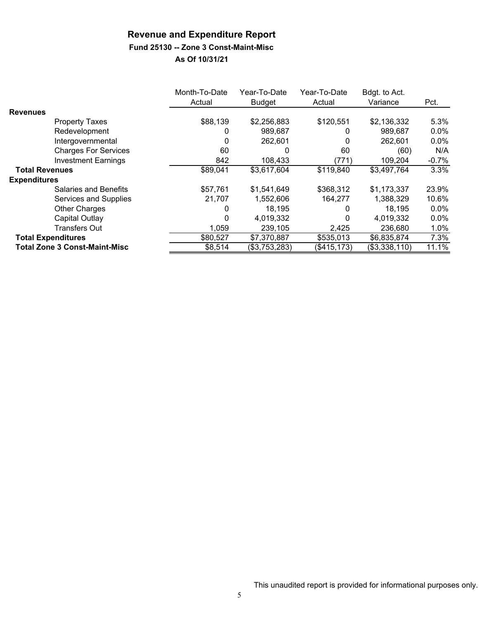# **Fund 25130 -- Zone 3 Const-Maint-Misc**

|                                      | Month-To-Date<br>Actual | Year-To-Date<br><b>Budget</b> | Year-To-Date<br>Actual | Bdgt. to Act.<br>Variance | Pct.    |
|--------------------------------------|-------------------------|-------------------------------|------------------------|---------------------------|---------|
| <b>Revenues</b>                      |                         |                               |                        |                           |         |
| <b>Property Taxes</b>                | \$88,139                | \$2,256,883                   | \$120,551              | \$2,136,332               | 5.3%    |
| Redevelopment                        | 0                       | 989,687                       | 0                      | 989,687                   | $0.0\%$ |
| Intergovernmental                    | $\Omega$                | 262,601                       | 0                      | 262,601                   | $0.0\%$ |
| <b>Charges For Services</b>          | 60                      |                               | 60                     | (60)                      | N/A     |
| <b>Investment Earnings</b>           | 842                     | 108,433                       | (771)                  | 109,204                   | $-0.7%$ |
| <b>Total Revenues</b>                | \$89,041                | \$3,617,604                   | \$119,840              | \$3,497,764               | 3.3%    |
| <b>Expenditures</b>                  |                         |                               |                        |                           |         |
| Salaries and Benefits                | \$57,761                | \$1,541,649                   | \$368,312              | \$1,173,337               | 23.9%   |
| Services and Supplies                | 21,707                  | 1,552,606                     | 164,277                | 1,388,329                 | 10.6%   |
| <b>Other Charges</b>                 | 0                       | 18,195                        | 0                      | 18,195                    | $0.0\%$ |
| Capital Outlay                       | 0                       | 4,019,332                     | 0                      | 4,019,332                 | $0.0\%$ |
| <b>Transfers Out</b>                 | 1,059                   | 239,105                       | 2,425                  | 236,680                   | 1.0%    |
| <b>Total Expenditures</b>            | \$80,527                | \$7,370,887                   | \$535,013              | \$6,835,874               | 7.3%    |
| <b>Total Zone 3 Const-Maint-Misc</b> | \$8,514                 | (\$3,753,283)                 | (\$415, 173)           | (\$3,338,110)             | 11.1%   |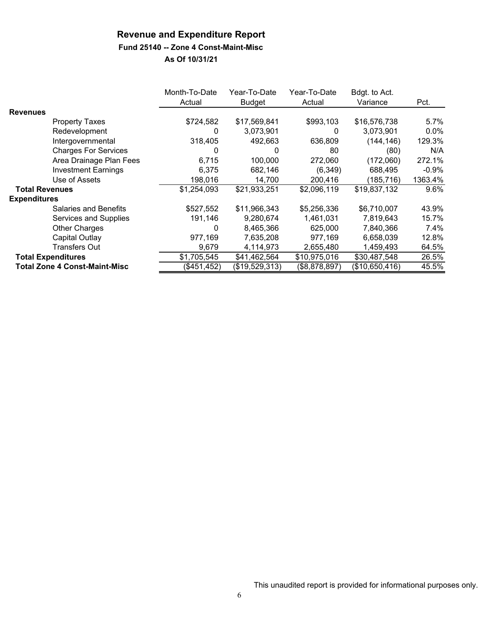#### **Fund 25140 -- Zone 4 Const-Maint-Misc**

|                       |                                      | Month-To-Date<br>Actual | Year-To-Date<br><b>Budget</b> | Year-To-Date<br>Actual | Bdgt. to Act.<br>Variance | Pct.    |
|-----------------------|--------------------------------------|-------------------------|-------------------------------|------------------------|---------------------------|---------|
| <b>Revenues</b>       |                                      |                         |                               |                        |                           |         |
|                       | <b>Property Taxes</b>                | \$724,582               | \$17,569,841                  | \$993,103              | \$16,576,738              | 5.7%    |
|                       | Redevelopment                        | 0                       | 3,073,901                     | 0                      | 3,073,901                 | $0.0\%$ |
|                       | Intergovernmental                    | 318,405                 | 492,663                       | 636,809                | (144, 146)                | 129.3%  |
|                       | <b>Charges For Services</b>          |                         | 0                             | 80                     | (80)                      | N/A     |
|                       | Area Drainage Plan Fees              | 6,715                   | 100,000                       | 272,060                | (172,060)                 | 272.1%  |
|                       | <b>Investment Earnings</b>           | 6,375                   | 682,146                       | (6, 349)               | 688,495                   | $-0.9%$ |
|                       | Use of Assets                        | 198,016                 | 14,700                        | 200,416                | (185, 716)                | 1363.4% |
| <b>Total Revenues</b> |                                      | \$1,254,093             | \$21,933,251                  | \$2,096,119            | \$19,837,132              | 9.6%    |
| <b>Expenditures</b>   |                                      |                         |                               |                        |                           |         |
|                       | <b>Salaries and Benefits</b>         | \$527,552               | \$11,966,343                  | \$5,256,336            | \$6,710,007               | 43.9%   |
|                       | Services and Supplies                | 191,146                 | 9,280,674                     | 1,461,031              | 7,819,643                 | 15.7%   |
|                       | <b>Other Charges</b>                 | 0                       | 8,465,366                     | 625,000                | 7,840,366                 | 7.4%    |
|                       | Capital Outlay                       | 977,169                 | 7,635,208                     | 977,169                | 6,658,039                 | 12.8%   |
|                       | <b>Transfers Out</b>                 | 9,679                   | 4,114,973                     | 2,655,480              | 1,459,493                 | 64.5%   |
|                       | <b>Total Expenditures</b>            | \$1,705,545             | \$41,462,564                  | \$10,975,016           | \$30,487,548              | 26.5%   |
|                       | <b>Total Zone 4 Const-Maint-Misc</b> | (\$451, 452)            | (\$19,529,313)                | (\$8,878,897)          | (\$10,650,416)            | 45.5%   |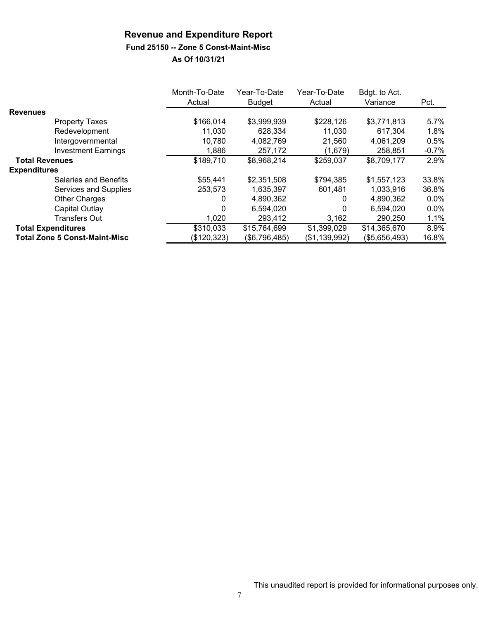# **Fund 25150 -- Zone 5 Const-Maint-Misc**

|                                      | Month-To-Date<br>Actual | Year-To-Date<br><b>Budget</b> | Year-To-Date<br>Actual | Bdgt. to Act.<br>Variance | Pct.    |
|--------------------------------------|-------------------------|-------------------------------|------------------------|---------------------------|---------|
| <b>Revenues</b>                      |                         |                               |                        |                           |         |
| <b>Property Taxes</b>                | \$166,014               | \$3,999,939                   | \$228,126              | \$3,771,813               | 5.7%    |
| Redevelopment                        | 11,030                  | 628.334                       | 11.030                 | 617.304                   | 1.8%    |
| Intergovernmental                    | 10,780                  | 4,082,769                     | 21,560                 | 4,061,209                 | 0.5%    |
| <b>Investment Earnings</b>           | 1,886                   | 257,172                       | (1,679)                | 258,851                   | $-0.7%$ |
| <b>Total Revenues</b>                | \$189,710               | \$8,968,214                   | \$259,037              | \$8,709,177               | 2.9%    |
| <b>Expenditures</b>                  |                         |                               |                        |                           |         |
| Salaries and Benefits                | \$55,441                | \$2,351,508                   | \$794,385              | \$1,557,123               | 33.8%   |
| Services and Supplies                | 253,573                 | 1,635,397                     | 601,481                | 1,033,916                 | 36.8%   |
| <b>Other Charges</b>                 | $\mathbf{0}$            | 4,890,362                     | 0                      | 4,890,362                 | $0.0\%$ |
| Capital Outlay                       | 0                       | 6,594,020                     | 0                      | 6,594,020                 | $0.0\%$ |
| <b>Transfers Out</b>                 | 1,020                   | 293,412                       | 3,162                  | 290,250                   | 1.1%    |
| <b>Total Expenditures</b>            | \$310,033               | \$15,764,699                  | \$1,399,029            | \$14,365,670              | 8.9%    |
| <b>Total Zone 5 Const-Maint-Misc</b> | (\$120,323)             | (\$6,796,485)                 | (\$1,139,992)          | (\$5,656,493)             | 16.8%   |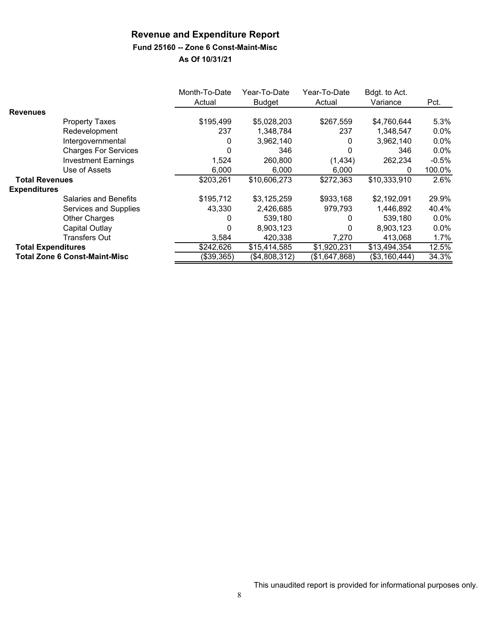# **Fund 25160 -- Zone 6 Const-Maint-Misc**

|                           |                                      | Month-To-Date<br>Actual | Year-To-Date<br><b>Budget</b> | Year-To-Date<br>Actual | Bdgt. to Act.<br>Variance | Pct.    |
|---------------------------|--------------------------------------|-------------------------|-------------------------------|------------------------|---------------------------|---------|
| <b>Revenues</b>           |                                      |                         |                               |                        |                           |         |
|                           | <b>Property Taxes</b>                | \$195,499               | \$5,028,203                   | \$267,559              | \$4,760,644               | 5.3%    |
|                           | Redevelopment                        | 237                     | 1,348,784                     | 237                    | 1.348.547                 | 0.0%    |
|                           | Intergovernmental                    | 0                       | 3,962,140                     | 0                      | 3,962,140                 | 0.0%    |
|                           | <b>Charges For Services</b>          | O                       | 346                           | 0                      | 346                       | $0.0\%$ |
|                           | <b>Investment Earnings</b>           | 1,524                   | 260,800                       | (1, 434)               | 262,234                   | $-0.5%$ |
|                           | Use of Assets                        | 6,000                   | 6,000                         | 6.000                  | 0                         | 100.0%  |
| <b>Total Revenues</b>     |                                      | \$203,261               | \$10,606,273                  | \$272,363              | \$10,333,910              | 2.6%    |
| <b>Expenditures</b>       |                                      |                         |                               |                        |                           |         |
|                           | <b>Salaries and Benefits</b>         | \$195,712               | \$3,125,259                   | \$933,168              | \$2,192,091               | 29.9%   |
|                           | Services and Supplies                | 43,330                  | 2,426,685                     | 979,793                | 1,446,892                 | 40.4%   |
|                           | <b>Other Charges</b>                 | 0                       | 539,180                       | 0                      | 539,180                   | 0.0%    |
|                           | Capital Outlay                       | 0                       | 8,903,123                     | 0                      | 8,903,123                 | $0.0\%$ |
|                           | <b>Transfers Out</b>                 | 3,584                   | 420,338                       | 7,270                  | 413.068                   | 1.7%    |
| <b>Total Expenditures</b> |                                      | \$242,626               | \$15,414,585                  | \$1,920,231            | \$13,494,354              | 12.5%   |
|                           | <b>Total Zone 6 Const-Maint-Misc</b> | (\$39,365)              | (\$4,808,312)                 | (\$1,647,868)          | (\$3,160,444)             | 34.3%   |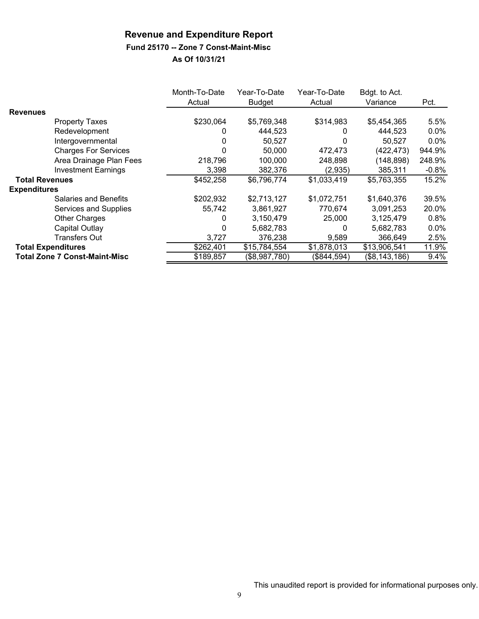# **Fund 25170 -- Zone 7 Const-Maint-Misc**

|                           |                                      | Month-To-Date<br>Actual | Year-To-Date<br><b>Budget</b> | Year-To-Date<br>Actual | Bdgt. to Act.<br>Variance | Pct.    |
|---------------------------|--------------------------------------|-------------------------|-------------------------------|------------------------|---------------------------|---------|
| <b>Revenues</b>           |                                      |                         |                               |                        |                           |         |
|                           | <b>Property Taxes</b>                | \$230,064               | \$5,769,348                   | \$314,983              | \$5,454,365               | 5.5%    |
|                           | Redevelopment                        | 0                       | 444,523                       | 0                      | 444,523                   | $0.0\%$ |
|                           | Intergovernmental                    | 0                       | 50,527                        | $\Omega$               | 50,527                    | $0.0\%$ |
|                           | <b>Charges For Services</b>          | 0                       | 50.000                        | 472,473                | (422, 473)                | 944.9%  |
|                           | Area Drainage Plan Fees              | 218,796                 | 100,000                       | 248,898                | (148, 898)                | 248.9%  |
|                           | <b>Investment Earnings</b>           | 3,398                   | 382,376                       | (2,935)                | 385,311                   | $-0.8%$ |
| <b>Total Revenues</b>     |                                      | \$452,258               | \$6,796,774                   | \$1,033,419            | \$5,763,355               | 15.2%   |
| <b>Expenditures</b>       |                                      |                         |                               |                        |                           |         |
|                           | <b>Salaries and Benefits</b>         | \$202,932               | \$2,713,127                   | \$1,072,751            | \$1,640,376               | 39.5%   |
|                           | Services and Supplies                | 55,742                  | 3,861,927                     | 770,674                | 3,091,253                 | 20.0%   |
|                           | Other Charges                        | 0                       | 3,150,479                     | 25,000                 | 3,125,479                 | 0.8%    |
|                           | Capital Outlay                       | $\Omega$                | 5,682,783                     | 0                      | 5,682,783                 | $0.0\%$ |
|                           | <b>Transfers Out</b>                 | 3,727                   | 376,238                       | 9.589                  | 366,649                   | 2.5%    |
| <b>Total Expenditures</b> |                                      | \$262,401               | \$15,784,554                  | \$1,878,013            | \$13,906,541              | 11.9%   |
|                           | <b>Total Zone 7 Const-Maint-Misc</b> | \$189,857               | (\$8,987,780)                 | (\$844,594)            | (\$8,143,186)             | 9.4%    |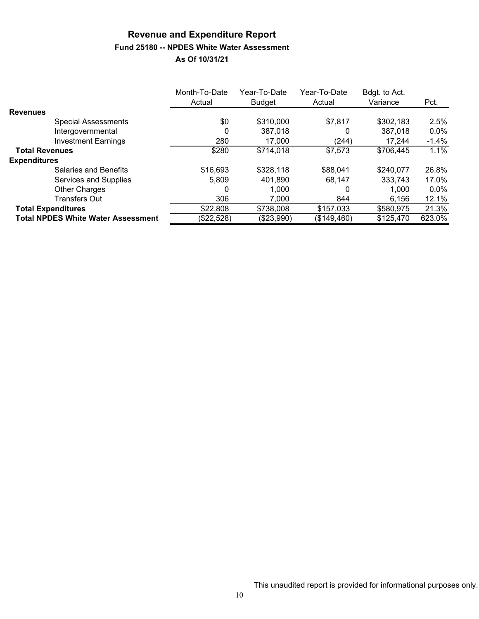# **Revenue and Expenditure Report Fund 25180 -- NPDES White Water Assessment**

|                                           | Month-To-Date<br>Actual | Year-To-Date<br><b>Budget</b> | Year-To-Date<br>Actual | Bdgt. to Act.<br>Variance | Pct.    |
|-------------------------------------------|-------------------------|-------------------------------|------------------------|---------------------------|---------|
| <b>Revenues</b>                           |                         |                               |                        |                           |         |
| <b>Special Assessments</b>                | \$0                     | \$310,000                     | \$7,817                | \$302,183                 | 2.5%    |
| Intergovernmental                         | 0                       | 387,018                       | 0                      | 387,018                   | $0.0\%$ |
| <b>Investment Earnings</b>                | 280                     | 17.000                        | (244)                  | 17,244                    | $-1.4%$ |
| <b>Total Revenues</b>                     | \$280                   | \$714,018                     | \$7,573                | \$706,445                 | 1.1%    |
| <b>Expenditures</b>                       |                         |                               |                        |                           |         |
| Salaries and Benefits                     | \$16,693                | \$328,118                     | \$88,041               | \$240,077                 | 26.8%   |
| Services and Supplies                     | 5.809                   | 401,890                       | 68,147                 | 333,743                   | 17.0%   |
| <b>Other Charges</b>                      | 0                       | 1,000                         | 0                      | 1,000                     | $0.0\%$ |
| <b>Transfers Out</b>                      | 306                     | 7,000                         | 844                    | 6,156                     | 12.1%   |
| <b>Total Expenditures</b>                 | \$22,808                | \$738,008                     | \$157,033              | \$580,975                 | 21.3%   |
| <b>Total NPDES White Water Assessment</b> | (\$22,528)              | (\$23,990)                    | (\$149,460)            | \$125,470                 | 623.0%  |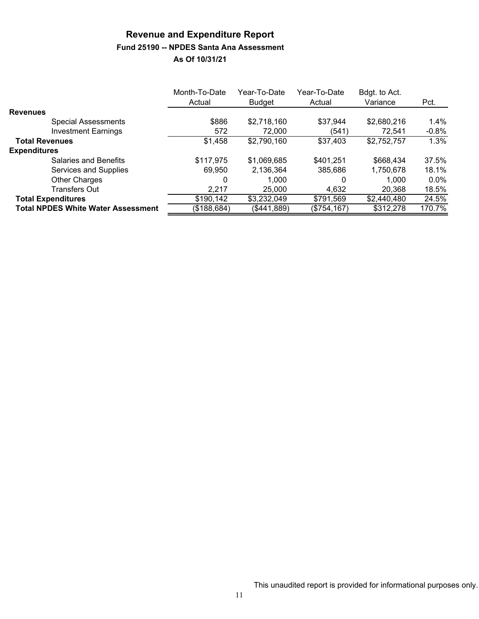# **Revenue and Expenditure Report Fund 25190 -- NPDES Santa Ana Assessment**

|                                           | Month-To-Date | Year-To-Date  | Year-To-Date | Bdgt. to Act. |          |
|-------------------------------------------|---------------|---------------|--------------|---------------|----------|
|                                           | Actual        | <b>Budget</b> | Actual       | Variance      | Pct.     |
| <b>Revenues</b>                           |               |               |              |               |          |
| <b>Special Assessments</b>                | \$886         | \$2,718,160   | \$37,944     | \$2,680,216   | $1.4\%$  |
| <b>Investment Earnings</b>                | 572           | 72.000        | (541)        | 72,541        | $-0.8\%$ |
| <b>Total Revenues</b>                     | \$1,458       | \$2,790,160   | \$37,403     | \$2,752,757   | 1.3%     |
| <b>Expenditures</b>                       |               |               |              |               |          |
| Salaries and Benefits                     | \$117,975     | \$1,069,685   | \$401,251    | \$668,434     | 37.5%    |
| Services and Supplies                     | 69.950        | 2,136,364     | 385,686      | 1,750,678     | 18.1%    |
| <b>Other Charges</b>                      | 0             | 1.000         | 0            | 1,000         | $0.0\%$  |
| <b>Transfers Out</b>                      | 2,217         | 25,000        | 4,632        | 20,368        | 18.5%    |
| <b>Total Expenditures</b>                 | \$190,142     | \$3,232,049   | \$791,569    | \$2,440,480   | 24.5%    |
| <b>Total NPDES White Water Assessment</b> | (\$188,684)   | (\$441,889)   | (\$754, 167) | \$312,278     | 170.7%   |